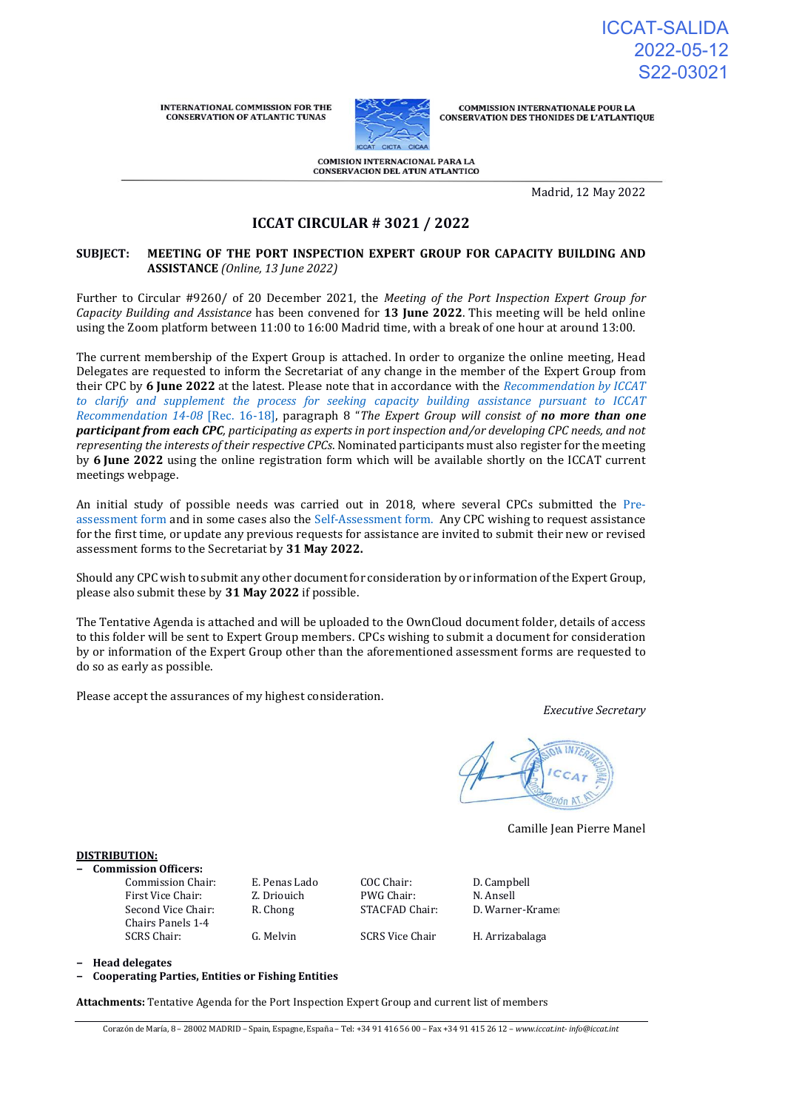ICCAT-SALIDA 2022-05-12 S22-03021

**INTERNATIONAL COMMISSION FOR THE CONSERVATION OF ATLANTIC TUNAS** 



**COMMISSION INTERNATIONALE POUR LA** CONSERVATION DES THONIDES DE L'ATLANTIQUE

COMISION INTERNACIONAL PARA LA<br>CONSERVACION DEL ATUN ATLANTICO

Madrid, 12 May 2022

# **ICCAT CIRCULAR # 3021 / 2022**

## **SUBJECT: MEETING OF THE PORT INSPECTION EXPERT GROUP FOR CAPACITY BUILDING AND ASSISTANCE** *(Online, 13 June 2022)*

Further to Circular #9260/ of 20 December 2021, the *Meeting of the Port Inspection Expert Group for Capacity Building and Assistance* has been convened for **13 June 2022**. This meeting will be held online using the Zoom platform between 11:00 to 16:00 Madrid time, with a break of one hour at around 13:00.

The current membership of the Expert Group is attached. In order to organize the online meeting, Head Delegates are requested to inform the Secretariat of any change in the member of the Expert Group from their CPC by **6 June 2022** at the latest. Please note that in accordance with the *[Recommendation by ICCAT](https://www.iccat.int/Documents/Recs/compendiopdf-e/2016-18-e.pdf)  [to clarify and supplement the process for seeking capacity building assistance pursuant to ICCAT](https://www.iccat.int/Documents/Recs/compendiopdf-e/2016-18-e.pdf)  [Recommendation 14-08](https://www.iccat.int/Documents/Recs/compendiopdf-e/2016-18-e.pdf)* [Rec. 16-18], paragraph 8 "*The Expert Group will consist of no more than one participant from each CPC, participating as experts in port inspection and/or developing CPC needs, and not representing the interests of their respective CPCs*. Nominated participants must also register for the meeting by **6 June 2022** using the online registration form which will be available shortly on the [ICCAT current](https://www.iccat.int/en/Meetings.html)  [meetings webpage.](https://www.iccat.int/en/Meetings.html)

An initial study of possible needs was carried out in 2018, where several CPCs submitted the [Pre](https://www.iccat.int/Documents/Comply/PORT_INSPECTION_SELF_PRE_ASS_ENG.docx)[assessment form](https://www.iccat.int/Documents/Comply/PORT_INSPECTION_SELF_PRE_ASS_ENG.docx) and in some cases also the [Self-Assessment form. A](https://www.iccat.int/Documents/Comply/PORT_INSPECTION_FULL_ASS_ENG.docx)ny CPC wishing to request assistance for the first time, or update any previous requests for assistance are invited to submit their new or revised assessment forms to the Secretariat by **31 May 2022.**

Should any CPC wish to submit any other document for consideration by or information of the Expert Group, please also submit these by **31 May 2022** if possible.

The Tentative Agenda is attached and will be uploaded to the OwnCloud document folder, details of access to this folder will be sent to Expert Group members. CPCs wishing to submit a document for consideration by or information of the Expert Group other than the aforementioned assessment forms are requested to do so as early as possible.

Please accept the assurances of my highest consideration.

*Executive Secretary*

Camille Jean Pierre Manel

#### **DISTRIBUTION:**

- **− Commission Officers:**
	- First Vice Chair: Z. Driouich PWG Chair: N. Ansell Second Vice Chair: Chairs Panels 1-4

Commission Chair: E. Penas Lado COC Chair: D. Campbell

R. Chong STACFAD Chair: D. Warner-Kramer

SCRS Chair: G. Melvin SCRS Vice Chair H. Arrizabalaga

- **− Head delegates**
- **− Cooperating Parties, Entities or Fishing Entities**

**Attachments:** Tentative Agenda for the Port Inspection Expert Group and current list of members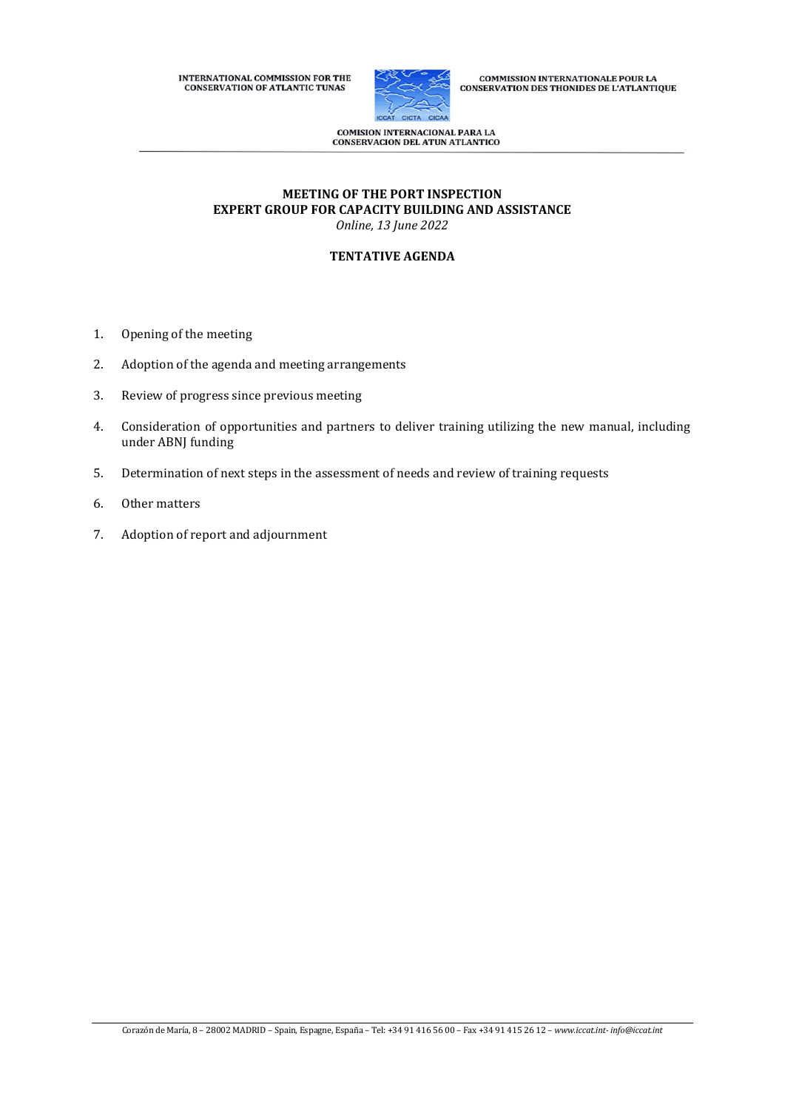INTERNATIONAL COMMISSION FOR THE CONSERVATION OF ATLANTIC TUNAS



COMMISSION INTERNATIONALE POUR LA<br>CONSERVATION DES THONIDES DE L'ATLANTIQUE

**COMISION INTERNACIONAL PARA LA<br>CONSERVACION DEL ATUN ATLANTICO** 

## **MEETING OF THE PORT INSPECTION EXPERT GROUP FOR CAPACITY BUILDING AND ASSISTANCE** *Online, 13 June 2022*

## **TENTATIVE AGENDA**

- 1. Opening of the meeting
- 2. Adoption of the agenda and meeting arrangements
- 3. Review of progress since previous meeting
- 4. Consideration of opportunities and partners to deliver training utilizing the new manual, including under ABNJ funding
- 5. Determination of next steps in the assessment of needs and review of training requests
- 6. Other matters
- 7. Adoption of report and adjournment